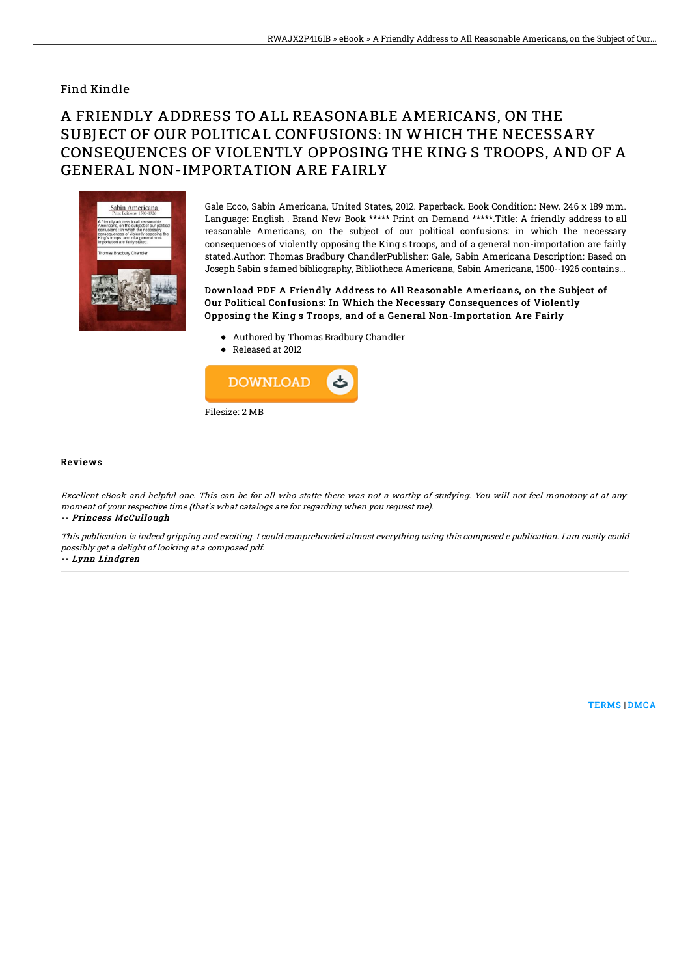## Find Kindle

## A FRIENDLY ADDRESS TO ALL REASONABLE AMERICANS, ON THE SUBJECT OF OUR POLITICAL CONFUSIONS: IN WHICH THE NECESSARY CONSEQUENCES OF VIOLENTLY OPPOSING THE KING S TROOPS, AND OF A GENERAL NON-IMPORTATION ARE FAIRLY



Gale Ecco, Sabin Americana, United States, 2012. Paperback. Book Condition: New. 246 x 189 mm. Language: English . Brand New Book \*\*\*\*\* Print on Demand \*\*\*\*\*.Title: A friendly address to all reasonable Americans, on the subject of our political confusions: in which the necessary consequences of violently opposing the King s troops, and of a general non-importation are fairly stated.Author: Thomas Bradbury ChandlerPublisher: Gale, Sabin Americana Description: Based on Joseph Sabin s famed bibliography, Bibliotheca Americana, Sabin Americana, 1500--1926 contains...

Download PDF A Friendly Address to All Reasonable Americans, on the Subject of Our Political Confusions: In Which the Necessary Consequences of Violently Opposing the King s Troops, and of a General Non-Importation Are Fairly

- Authored by Thomas Bradbury Chandler
- Released at 2012



## Reviews

Excellent eBook and helpful one. This can be for all who statte there was not <sup>a</sup> worthy of studying. You will not feel monotony at at any moment of your respective time (that's what catalogs are for regarding when you request me). -- Princess McCullough

This publication is indeed gripping and exciting. I could comprehended almost everything using this composed <sup>e</sup> publication. I am easily could possibly get <sup>a</sup> delight of looking at <sup>a</sup> composed pdf.

-- Lynn Lindgren